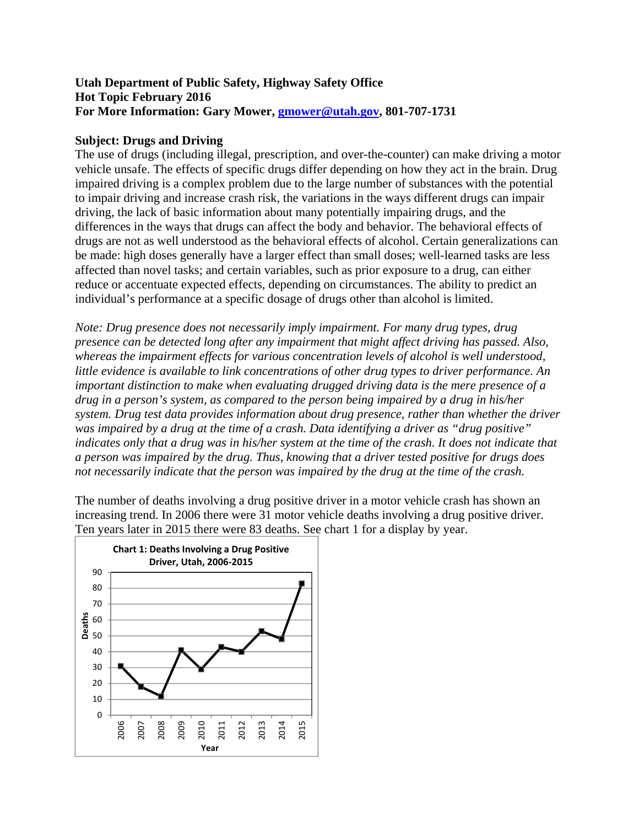### **Utah Department of Public Safety, Highway Safety Office Hot Topic February 2016 For More Information: Gary Mower, gmower@utah.gov, 801-707-1731**

### **Subject: Drugs and Driving**

The use of drugs (including illegal, prescription, and over-the-counter) can make driving a motor vehicle unsafe. The effects of specific drugs differ depending on how they act in the brain. Drug impaired driving is a complex problem due to the large number of substances with the potential to impair driving and increase crash risk, the variations in the ways different drugs can impair driving, the lack of basic information about many potentially impairing drugs, and the differences in the ways that drugs can affect the body and behavior. The behavioral effects of drugs are not as well understood as the behavioral effects of alcohol. Certain generalizations can be made: high doses generally have a larger effect than small doses; well-learned tasks are less affected than novel tasks; and certain variables, such as prior exposure to a drug, can either reduce or accentuate expected effects, depending on circumstances. The ability to predict an individual's performance at a specific dosage of drugs other than alcohol is limited.

*Note: Drug presence does not necessarily imply impairment. For many drug types, drug presence can be detected long after any impairment that might affect driving has passed. Also, whereas the impairment effects for various concentration levels of alcohol is well understood, little evidence is available to link concentrations of other drug types to driver performance. An important distinction to make when evaluating drugged driving data is the mere presence of a drug in a person's system, as compared to the person being impaired by a drug in his/her system. Drug test data provides information about drug presence, rather than whether the driver was impaired by a drug at the time of a crash. Data identifying a driver as "drug positive" indicates only that a drug was in his/her system at the time of the crash. It does not indicate that a person was impaired by the drug. Thus, knowing that a driver tested positive for drugs does not necessarily indicate that the person was impaired by the drug at the time of the crash.* 

The number of deaths involving a drug positive driver in a motor vehicle crash has shown an increasing trend. In 2006 there were 31 motor vehicle deaths involving a drug positive driver. Ten years later in 2015 there were 83 deaths. See chart 1 for a display by year.

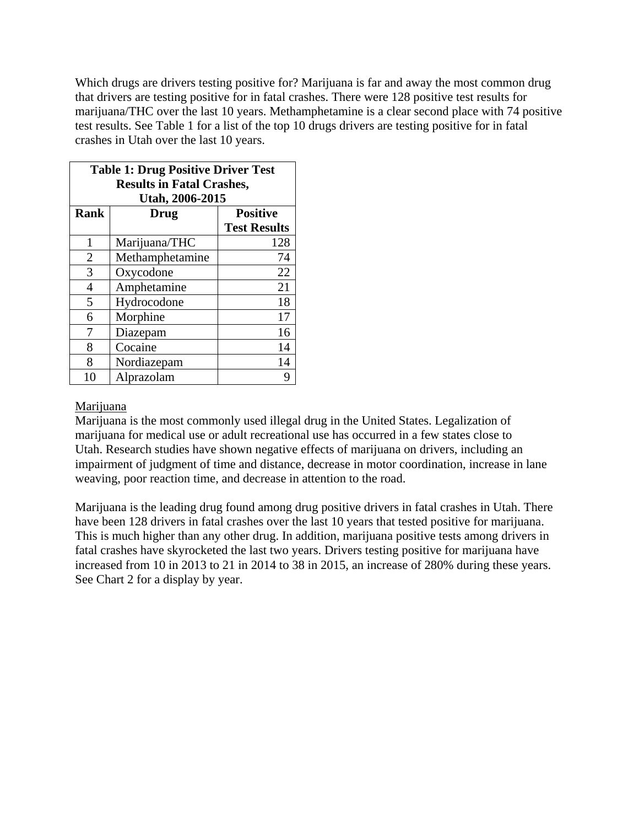Which drugs are drivers testing positive for? Marijuana is far and away the most common drug that drivers are testing positive for in fatal crashes. There were 128 positive test results for marijuana/THC over the last 10 years. Methamphetamine is a clear second place with 74 positive test results. See Table 1 for a list of the top 10 drugs drivers are testing positive for in fatal crashes in Utah over the last 10 years.

| <b>Table 1: Drug Positive Driver Test</b><br><b>Results in Fatal Crashes,</b><br>Utah, 2006-2015 |                 |                                        |
|--------------------------------------------------------------------------------------------------|-----------------|----------------------------------------|
| <b>Rank</b>                                                                                      | <b>Drug</b>     | <b>Positive</b><br><b>Test Results</b> |
| 1                                                                                                | Marijuana/THC   | 128                                    |
| $\overline{2}$                                                                                   | Methamphetamine | 74                                     |
| 3                                                                                                | Oxycodone       | 22                                     |
| $\overline{4}$                                                                                   | Amphetamine     | 21                                     |
| 5                                                                                                | Hydrocodone     | 18                                     |
| 6                                                                                                | Morphine        | 17                                     |
| 7                                                                                                | Diazepam        | 16                                     |
| 8                                                                                                | Cocaine         | 14                                     |
| 8                                                                                                | Nordiazepam     | 14                                     |
| 10                                                                                               | Alprazolam      |                                        |

#### Marijuana

Marijuana is the most commonly used illegal drug in the United States. Legalization of marijuana for medical use or adult recreational use has occurred in a few states close to Utah. Research studies have shown negative effects of marijuana on drivers, including an impairment of judgment of time and distance, decrease in motor coordination, increase in lane weaving, poor reaction time, and decrease in attention to the road.

Marijuana is the leading drug found among drug positive drivers in fatal crashes in Utah. There have been 128 drivers in fatal crashes over the last 10 years that tested positive for marijuana. This is much higher than any other drug. In addition, marijuana positive tests among drivers in fatal crashes have skyrocketed the last two years. Drivers testing positive for marijuana have increased from 10 in 2013 to 21 in 2014 to 38 in 2015, an increase of 280% during these years. See Chart 2 for a display by year.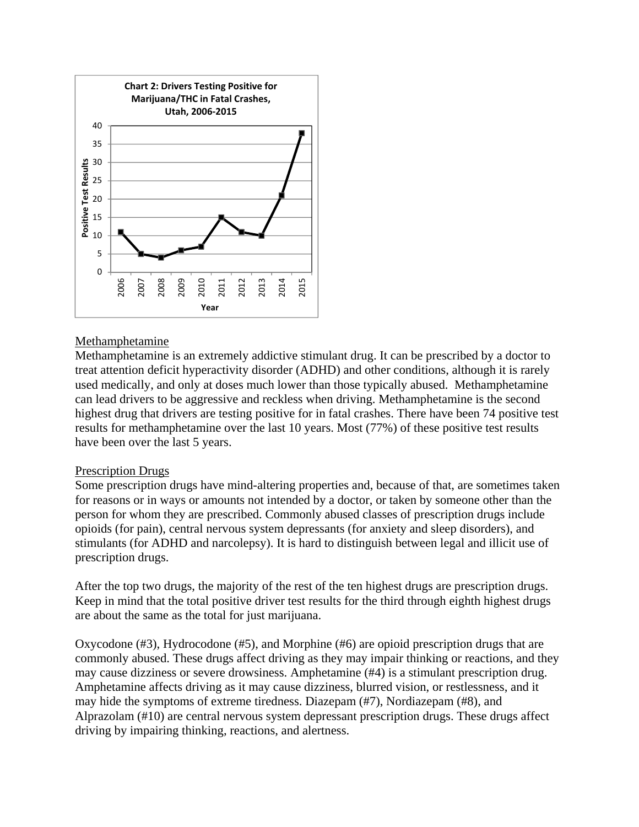

### Methamphetamine

Methamphetamine is an extremely addictive stimulant drug. It can be prescribed by a doctor to treat attention deficit hyperactivity disorder (ADHD) and other conditions, although it is rarely used medically, and only at doses much lower than those typically abused. Methamphetamine can lead drivers to be aggressive and reckless when driving. Methamphetamine is the second highest drug that drivers are testing positive for in fatal crashes. There have been 74 positive test results for methamphetamine over the last 10 years. Most (77%) of these positive test results have been over the last 5 years.

#### Prescription Drugs

Some prescription drugs have mind-altering properties and, because of that, are sometimes taken for reasons or in ways or amounts not intended by a doctor, or taken by someone other than the person for whom they are prescribed. Commonly abused classes of prescription drugs include opioids (for pain), central nervous system depressants (for anxiety and sleep disorders), and stimulants (for ADHD and narcolepsy). It is hard to distinguish between legal and illicit use of prescription drugs.

After the top two drugs, the majority of the rest of the ten highest drugs are prescription drugs. Keep in mind that the total positive driver test results for the third through eighth highest drugs are about the same as the total for just marijuana.

Oxycodone (#3), Hydrocodone (#5), and Morphine (#6) are opioid prescription drugs that are commonly abused. These drugs affect driving as they may impair thinking or reactions, and they may cause dizziness or severe drowsiness. Amphetamine (#4) is a stimulant prescription drug. Amphetamine affects driving as it may cause dizziness, blurred vision, or restlessness, and it may hide the symptoms of extreme tiredness. Diazepam (#7), Nordiazepam (#8), and Alprazolam (#10) are central nervous system depressant prescription drugs. These drugs affect driving by impairing thinking, reactions, and alertness.